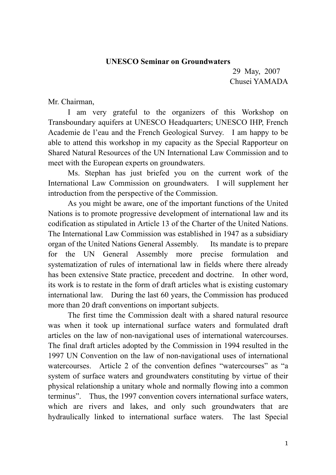## **UNESCO Seminar on Groundwaters**

29 May, 2007 Chusei YAMADA

Mr. Chairman,

 I am very grateful to the organizers of this Workshop on Transboundary aquifers at UNESCO Headquarters; UNESCO IHP, French Academie de l'eau and the French Geological Survey. I am happy to be able to attend this workshop in my capacity as the Special Rapporteur on Shared Natural Resources of the UN International Law Commission and to meet with the European experts on groundwaters.

 Ms. Stephan has just briefed you on the current work of the International Law Commission on groundwaters. I will supplement her introduction from the perspective of the Commission.

As you might be aware, one of the important functions of the United Nations is to promote progressive development of international law and its codification as stipulated in Article 13 of the Charter of the United Nations. The International Law Commission was established in 1947 as a subsidiary organ of the United Nations General Assembly. Its mandate is to prepare for the UN General Assembly more precise formulation and systematization of rules of international law in fields where there already has been extensive State practice, precedent and doctrine. In other word, its work is to restate in the form of draft articles what is existing customary international law. During the last 60 years, the Commission has produced more than 20 draft conventions on important subjects.

The first time the Commission dealt with a shared natural resource was when it took up international surface waters and formulated draft articles on the law of non-navigational uses of international watercourses. The final draft articles adopted by the Commission in 1994 resulted in the 1997 UN Convention on the law of non-navigational uses of international watercourses. Article 2 of the convention defines "watercourses" as "a system of surface waters and groundwaters constituting by virtue of their physical relationship a unitary whole and normally flowing into a common terminus". Thus, the 1997 convention covers international surface waters, which are rivers and lakes, and only such groundwaters that are hydraulically linked to international surface waters. The last Special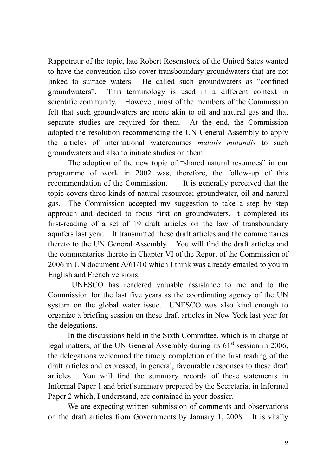Rappotreur of the topic, late Robert Rosenstock of the United Sates wanted to have the convention also cover transboundary groundwaters that are not linked to surface waters. He called such groundwaters as "confined groundwaters". This terminology is used in a different context in scientific community. However, most of the members of the Commission felt that such groundwaters are more akin to oil and natural gas and that separate studies are required for them. At the end, the Commission adopted the resolution recommending the UN General Assembly to apply the articles of international watercourses *mutatis mutandis* to such groundwaters and also to initiate studies on them.

The adoption of the new topic of "shared natural resources" in our programme of work in 2002 was, therefore, the follow-up of this recommendation of the Commission. It is generally perceived that the topic covers three kinds of natural resources; groundwater, oil and natural gas. The Commission accepted my suggestion to take a step by step approach and decided to focus first on groundwaters. It completed its first-reading of a set of 19 draft articles on the law of transboundary aquifers last year. It transmitted these draft articles and the commentaries thereto to the UN General Assembly. You will find the draft articles and the commentaries thereto in Chapter VI of the Report of the Commission of 2006 in UN document A/61/10 which I think was already emailed to you in English and French versions.

 UNESCO has rendered valuable assistance to me and to the Commission for the last five years as the coordinating agency of the UN system on the global water issue. UNESCO was also kind enough to organize a briefing session on these draft articles in New York last year for the delegations.

 In the discussions held in the Sixth Committee, which is in charge of legal matters, of the UN General Assembly during its  $61<sup>st</sup>$  session in 2006, the delegations welcomed the timely completion of the first reading of the draft articles and expressed, in general, favourable responses to these draft articles. You will find the summary records of these statements in Informal Paper 1 and brief summary prepared by the Secretariat in Informal Paper 2 which, I understand, are contained in your dossier.

We are expecting written submission of comments and observations on the draft articles from Governments by January 1, 2008. It is vitally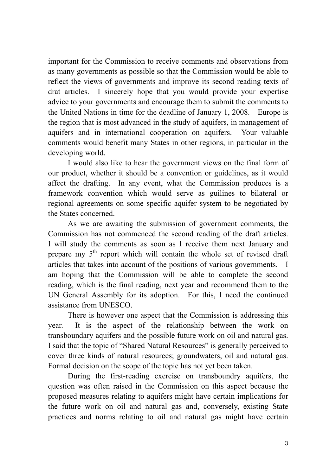important for the Commission to receive comments and observations from as many governments as possible so that the Commission would be able to reflect the views of governments and improve its second reading texts of drat articles. I sincerely hope that you would provide your expertise advice to your governments and encourage them to submit the comments to the United Nations in time for the deadline of January 1, 2008. Europe is the region that is most advanced in the study of aquifers, in management of aquifers and in international cooperation on aquifers. Your valuable comments would benefit many States in other regions, in particular in the developing world.

 I would also like to hear the government views on the final form of our product, whether it should be a convention or guidelines, as it would affect the drafting. In any event, what the Commission produces is a framework convention which would serve as guilines to bilateral or regional agreements on some specific aquifer system to be negotiated by the States concerned.

As we are awaiting the submission of government comments, the Commission has not commenced the second reading of the draft articles. I will study the comments as soon as I receive them next January and prepare my 5<sup>th</sup> report which will contain the whole set of revised draft articles that takes into account of the positions of various governments. I am hoping that the Commission will be able to complete the second reading, which is the final reading, next year and recommend them to the UN General Assembly for its adoption. For this, I need the continued assistance from UNESCO.

 There is however one aspect that the Commission is addressing this year. It is the aspect of the relationship between the work on transboundary aquifers and the possible future work on oil and natural gas. I said that the topic of "Shared Natural Resources" is generally perceived to cover three kinds of natural resources; groundwaters, oil and natural gas. Formal decision on the scope of the topic has not yet been taken.

During the first-reading exercise on transboundry aquifers, the question was often raised in the Commission on this aspect because the proposed measures relating to aquifers might have certain implications for the future work on oil and natural gas and, conversely, existing State practices and norms relating to oil and natural gas might have certain